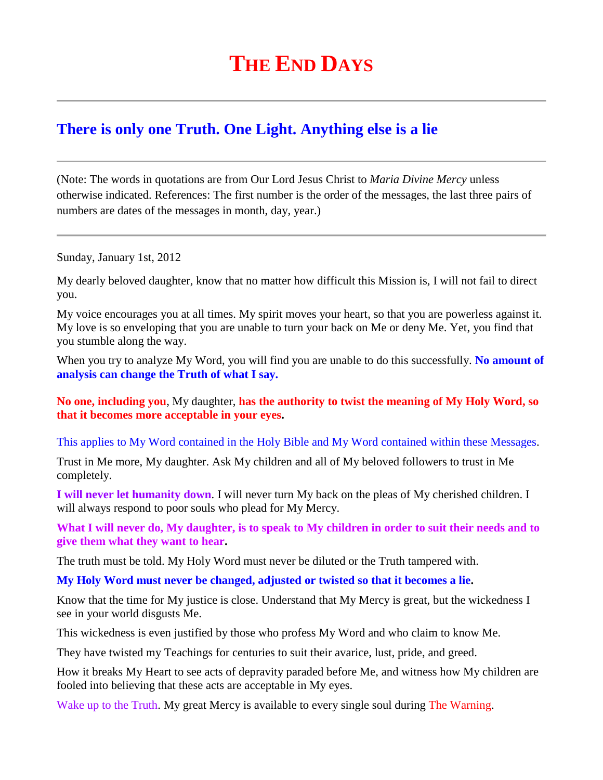## **THE END DAYS**

## **[There is only one Truth. One Light. Anything else is a lie](http://www.thewarningsecondcoming.com/there-is-only-one-truth-one-light-anything-else-is-a-lie/)**

(Note: The words in quotations are from Our Lord Jesus Christ to *Maria Divine Mercy* unless otherwise indicated. References: The first number is the order of the messages, the last three pairs of numbers are dates of the messages in month, day, year.)

Sunday, January 1st, 2012

My dearly beloved daughter, know that no matter how difficult this Mission is, I will not fail to direct you.

My voice encourages you at all times. My spirit moves your heart, so that you are powerless against it. My love is so enveloping that you are unable to turn your back on Me or deny Me. Yet, you find that you stumble along the way.

When you try to analyze My Word, you will find you are unable to do this successfully. No amount of **analysis can change the Truth of what I say.**

**No one, including you**, My daughter, **has the authority to twist the meaning of My Holy Word, so that it becomes more acceptable in your eyes.**

This applies to My Word contained in the Holy Bible and My Word contained within these Messages.

Trust in Me more, My daughter. Ask My children and all of My beloved followers to trust in Me completely.

**I will never let humanity down**. I will never turn My back on the pleas of My cherished children. I will always respond to poor souls who plead for My Mercy.

**What I will never do, My daughter, is to speak to My children in order to suit their needs and to give them what they want to hear.**

The truth must be told. My Holy Word must never be diluted or the Truth tampered with.

**My Holy Word must never be changed, adjusted or twisted so that it becomes a lie.**

Know that the time for My justice is close. Understand that My Mercy is great, but the wickedness I see in your world disgusts Me.

This wickedness is even justified by those who profess My Word and who claim to know Me.

They have twisted my Teachings for centuries to suit their avarice, lust, pride, and greed.

How it breaks My Heart to see acts of depravity paraded before Me, and witness how My children are fooled into believing that these acts are acceptable in My eyes.

Wake up to the Truth. My great Mercy is available to every single soul during The Warning.